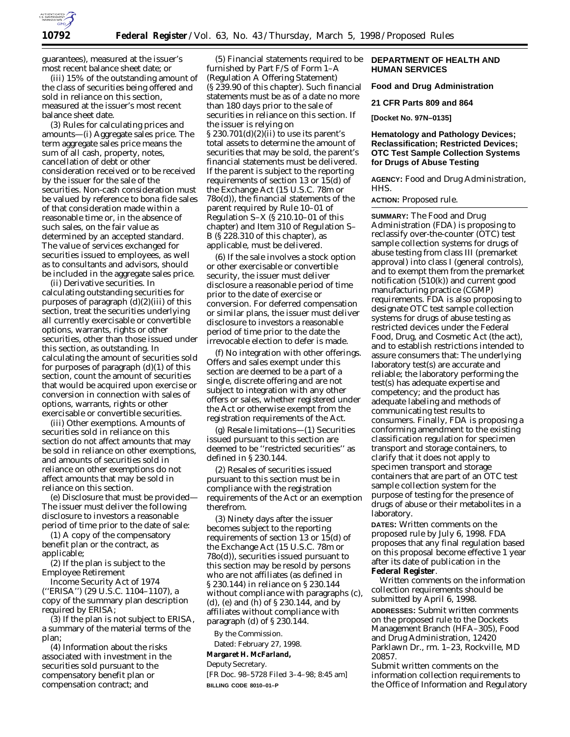

guarantees), measured at the issuer's most recent balance sheet date; or

(iii) 15% of the outstanding amount of the class of securities being offered and sold in reliance on this section, measured at the issuer's most recent balance sheet date.

(3) Rules for calculating prices and amounts—(i) Aggregate sales price. The term aggregate sales price means the sum of all cash, property, notes, cancellation of debt or other consideration received or to be received by the issuer for the sale of the securities. Non-cash consideration must be valued by reference to *bona fide* sales of that consideration made within a reasonable time or, in the absence of such sales, on the fair value as determined by an accepted standard. The value of services exchanged for securities issued to employees, as well as to consultants and advisors, should be included in the aggregate sales price.

(ii) Derivative securities. In calculating outstanding securities for purposes of paragraph  $(d)(2)(iii)$  of this section, treat the securities underlying all currently exercisable or convertible options, warrants, rights or other securities, other than those issued under this section, as outstanding. In calculating the amount of securities sold for purposes of paragraph  $(d)(1)$  of this section, count the amount of securities that would be acquired upon exercise or conversion in connection with sales of options, warrants, rights or other exercisable or convertible securities.

(iii) Other exemptions. Amounts of securities sold in reliance on this section do not affect amounts that may be sold in reliance on other exemptions, and amounts of securities sold in reliance on other exemptions do not affect amounts that may be sold in reliance on this section.

(e) Disclosure that must be provided— The issuer must deliver the following disclosure to investors a reasonable period of time prior to the date of sale:

(1) A copy of the compensatory benefit plan or the contract, as applicable;

(2) If the plan is subject to the Employee Retirement

Income Security Act of 1974 (''ERISA'') (29 U.S.C. 1104–1107), a copy of the summary plan description required by ERISA;

(3) If the plan is not subject to ERISA, a summary of the material terms of the plan;

(4) Information about the risks associated with investment in the securities sold pursuant to the compensatory benefit plan or compensation contract; and

(5) Financial statements required to be furnished by Part F/S of Form 1–A (Regulation A Offering Statement) (§ 239.90 of this chapter). Such financial statements must be as of a date no more than 180 days prior to the sale of securities in reliance on this section. If the issuer is relying on § 230.701(d)(2)(ii) to use its parent's total assets to determine the amount of securities that may be sold, the parent's financial statements must be delivered. If the parent is subject to the reporting requirements of section 13 or 15(d) of the Exchange Act (15 U.S.C. 78m or 78o(d)), the financial statements of the parent required by Rule 10–01 of Regulation S–X (§ 210.10–01 of this chapter) and Item 310 of Regulation S– B (§ 228.310 of this chapter), as applicable, must be delivered.

(6) If the sale involves a stock option or other exercisable or convertible security, the issuer must deliver disclosure a reasonable period of time prior to the date of exercise or conversion. For deferred compensation or similar plans, the issuer must deliver disclosure to investors a reasonable period of time prior to the date the irrevocable election to defer is made.

(f) No integration with other offerings. Offers and sales exempt under this section are deemed to be a part of a single, discrete offering and are not subject to integration with any other offers or sales, whether registered under the Act or otherwise exempt from the registration requirements of the Act.

(g) Resale limitations—(1) Securities issued pursuant to this section are deemed to be ''restricted securities'' as defined in § 230.144.

(2) Resales of securities issued pursuant to this section must be in compliance with the registration requirements of the Act or an exemption therefrom.

(3) Ninety days after the issuer becomes subject to the reporting requirements of section 13 or 15(d) of the Exchange Act (15 U.S.C. 78m or 78o(d)), securities issued pursuant to this section may be resold by persons who are not affiliates (as defined in § 230.144) in reliance on § 230.144 without compliance with paragraphs (c), (d), (e) and (h) of § 230.144, and by affiliates without compliance with paragraph (d) of § 230.144.

By the Commission.

Dated: February 27, 1998.

# **Margaret H. McFarland,**

*Deputy Secretary.* [FR Doc. 98–5728 Filed 3–4–98; 8:45 am] **BILLING CODE 8010–01–P**

### **DEPARTMENT OF HEALTH AND HUMAN SERVICES**

**Food and Drug Administration**

**21 CFR Parts 809 and 864**

**[Docket No. 97N–0135]**

### **Hematology and Pathology Devices; Reclassification; Restricted Devices; OTC Test Sample Collection Systems for Drugs of Abuse Testing**

**AGENCY:** Food and Drug Administration, HHS.

**ACTION:** Proposed rule.

**SUMMARY:** The Food and Drug Administration (FDA) is proposing to reclassify over-the-counter (OTC) test sample collection systems for drugs of abuse testing from class III (premarket approval) into class I (general controls), and to exempt them from the premarket notification (510(k)) and current good manufacturing practice (CGMP) requirements. FDA is also proposing to designate OTC test sample collection systems for drugs of abuse testing as restricted devices under the Federal Food, Drug, and Cosmetic Act (the act), and to establish restrictions intended to assure consumers that: The underlying laboratory test(s) are accurate and reliable; the laboratory performing the test(s) has adequate expertise and competency; and the product has adequate labeling and methods of communicating test results to consumers. Finally, FDA is proposing a conforming amendment to the existing classification regulation for specimen transport and storage containers, to clarify that it does not apply to specimen transport and storage containers that are part of an OTC test sample collection system for the purpose of testing for the presence of drugs of abuse or their metabolites in a laboratory.

**DATES:** Written comments on the proposed rule by July 6, 1998. FDA proposes that any final regulation based on this proposal become effective 1 year after its date of publication in the **Federal Register**.

Written comments on the information collection requirements should be submitted by April 6, 1998.

**ADDRESSES:** Submit written comments on the proposed rule to the Dockets Management Branch (HFA–305), Food and Drug Administration, 12420 Parklawn Dr., rm. 1–23, Rockville, MD 20857.

Submit written comments on the information collection requirements to the Office of Information and Regulatory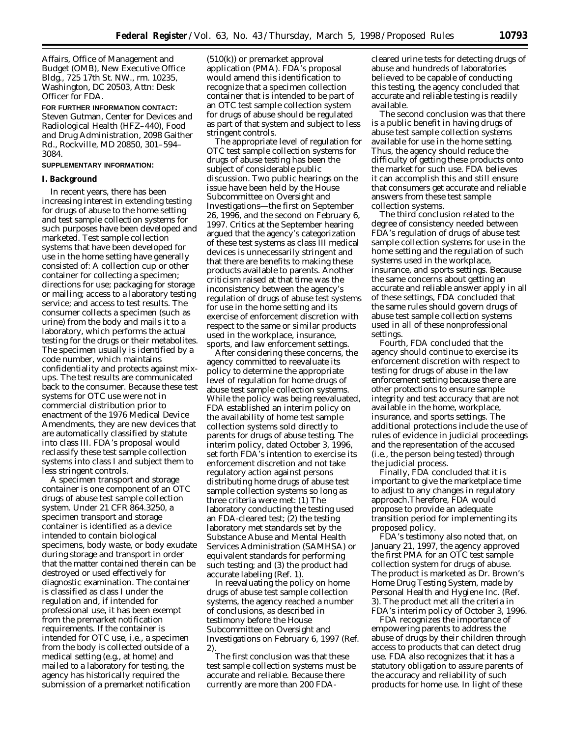Affairs, Office of Management and Budget (OMB), New Executive Office Bldg., 725 17th St. NW., rm. 10235, Washington, DC 20503, Attn: Desk Officer for FDA.

**FOR FURTHER INFORMATION CONTACT:** Steven Gutman, Center for Devices and Radiological Health (HFZ–440), Food and Drug Administration, 2098 Gaither Rd., Rockville, MD 20850, 301–594– 3084.

### **SUPPLEMENTARY INFORMATION:**

### **I. Background**

In recent years, there has been increasing interest in extending testing for drugs of abuse to the home setting and test sample collection systems for such purposes have been developed and marketed. Test sample collection systems that have been developed for use in the home setting have generally consisted of: A collection cup or other container for collecting a specimen; directions for use; packaging for storage or mailing; access to a laboratory testing service; and access to test results. The consumer collects a specimen (such as urine) from the body and mails it to a laboratory, which performs the actual testing for the drugs or their metabolites. The specimen usually is identified by a code number, which maintains confidentiality and protects against mixups. The test results are communicated back to the consumer. Because these test systems for OTC use were not in commercial distribution prior to enactment of the 1976 Medical Device Amendments, they are new devices that are automatically classified by statute into class III. FDA's proposal would reclassify these test sample collection systems into class I and subject them to less stringent controls.

A specimen transport and storage *container* is one component of an OTC drugs of abuse test sample collection system. Under 21 CFR 864.3250, a specimen transport and storage container is identified as a device intended to contain biological specimens, body waste, or body exudate during storage and transport in order that the matter contained therein can be destroyed or used effectively for diagnostic examination. The container is classified as class I under the regulation and, if intended for professional use, it has been exempt from the premarket notification requirements. If the container is intended for OTC use, i.e., a specimen from the body is collected outside of a medical setting (e.g., at home) and mailed to a laboratory for testing, the agency has historically required the submission of a premarket notification

(510(k)) or premarket approval application (PMA). FDA's proposal would amend this identification to recognize that a specimen collection container that is intended to be part of an OTC test sample collection system for drugs of abuse should be regulated as part of that system and subject to less stringent controls.

The appropriate level of regulation for OTC test sample collection systems for drugs of abuse testing has been the subject of considerable public discussion. Two public hearings on the issue have been held by the House Subcommittee on Oversight and Investigations—the first on September 26, 1996, and the second on February 6, 1997. Critics at the September hearing argued that the agency's categorization of these test systems as class III medical devices is unnecessarily stringent and that there are benefits to making these products available to parents. Another criticism raised at that time was the inconsistency between the agency's regulation of drugs of abuse test systems for use in the home setting and its exercise of enforcement discretion with respect to the same or similar products used in the workplace, insurance, sports, and law enforcement settings.

After considering these concerns, the agency committed to reevaluate its policy to determine the appropriate level of regulation for home drugs of abuse test sample collection systems. While the policy was being reevaluated, FDA established an interim policy on the availability of home test sample collection systems sold directly to parents for drugs of abuse testing. The interim policy, dated October 3, 1996, set forth FDA's intention to exercise its enforcement discretion and not take regulatory action against persons distributing home drugs of abuse test sample collection systems so long as three criteria were met: (1) The laboratory conducting the testing used an FDA-cleared test;  $(2)$  the testing laboratory met standards set by the Substance Abuse and Mental Health Services Administration (SAMHSA) or equivalent standards for performing such testing; and (3) the product had accurate labeling (Ref. 1).

In reevaluating the policy on home drugs of abuse test sample collection systems, the agency reached a number of conclusions, as described in testimony before the House Subcommittee on Oversight and Investigations on February 6, 1997 (Ref. 2).

The first conclusion was that these test sample collection systems must be accurate and reliable. Because there currently are more than 200 FDA-

cleared urine tests for detecting drugs of abuse and hundreds of laboratories believed to be capable of conducting this testing, the agency concluded that accurate and reliable testing is readily available.

The second conclusion was that there is a public benefit in having drugs of abuse test sample collection systems available for use in the home setting. Thus, the agency should reduce the difficulty of getting these products onto the market for such use. FDA believes it can accomplish this and still ensure that consumers get accurate and reliable answers from these test sample collection systems.

The third conclusion related to the degree of consistency needed between FDA's regulation of drugs of abuse test sample collection systems for use in the home setting and the regulation of such systems used in the workplace, insurance, and sports settings. Because the same concerns about getting an accurate and reliable answer apply in all of these settings, FDA concluded that the same rules should govern drugs of abuse test sample collection systems used in all of these nonprofessional settings.

Fourth, FDA concluded that the agency should continue to exercise its enforcement discretion with respect to testing for drugs of abuse in the law enforcement setting because there are other protections to ensure sample integrity and test accuracy that are not available in the home, workplace, insurance, and sports settings. The additional protections include the use of rules of evidence in judicial proceedings and the representation of the accused (i.e., the person being tested) through the judicial process.

Finally, FDA concluded that it is important to give the marketplace time to adjust to any changes in regulatory approach.Therefore, FDA would propose to provide an adequate transition period for implementing its proposed policy.

FDA's testimony also noted that, on January 21, 1997, the agency approved the first PMA for an OTC test sample collection system for drugs of abuse. The product is marketed as Dr. Brown's Home Drug Testing System, made by Personal Health and Hygiene Inc. (Ref. 3). The product met all the criteria in FDA's interim policy of October 3, 1996.

FDA recognizes the importance of empowering parents to address the abuse of drugs by their children through access to products that can detect drug use. FDA also recognizes that it has a statutory obligation to assure parents of the accuracy and reliability of such products for home use. In light of these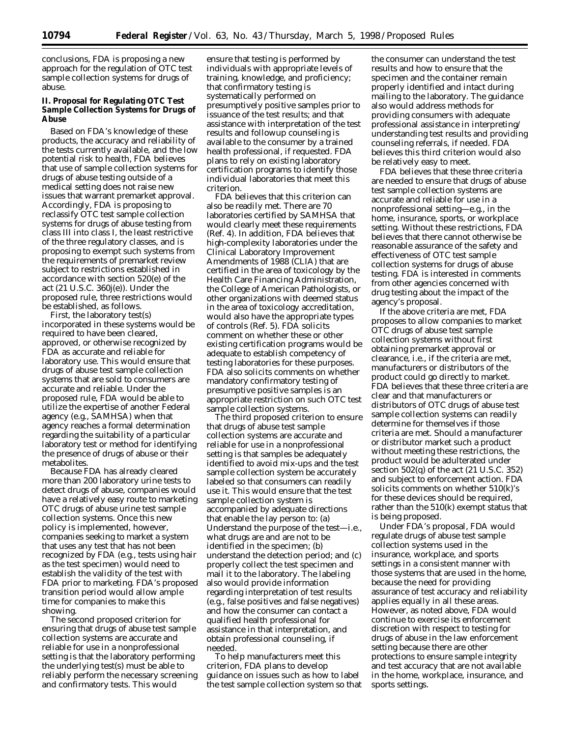conclusions, FDA is proposing a new approach for the regulation of OTC test sample collection systems for drugs of abuse.

### **II. Proposal for Regulating OTC Test Sample Collection Systems for Drugs of Abuse**

Based on FDA's knowledge of these products, the accuracy and reliability of the tests currently available, and the low potential risk to health, FDA believes that use of sample collection systems for drugs of abuse testing outside of a medical setting does not raise new issues that warrant premarket approval. Accordingly, FDA is proposing to reclassify OTC test sample collection systems for drugs of abuse testing from class III into class I, the least restrictive of the three regulatory classes, and is proposing to exempt such systems from the requirements of premarket review subject to restrictions established in accordance with section 520(e) of the act (21 U.S.C. 360j(e)). Under the proposed rule, three restrictions would be established, as follows.

First, the laboratory test(s) incorporated in these systems would be required to have been cleared, approved, or otherwise recognized by FDA as accurate and reliable for laboratory use. This would ensure that drugs of abuse test sample collection systems that are sold to consumers are accurate and reliable. Under the proposed rule, FDA would be able to utilize the expertise of another Federal agency (e.g., SAMHSA) when that agency reaches a formal determination regarding the suitability of a particular laboratory test or method for identifying the presence of drugs of abuse or their metabolites.

Because FDA has already cleared more than 200 laboratory urine tests to detect drugs of abuse, companies would have a relatively easy route to marketing OTC drugs of abuse urine test sample collection systems. Once this new policy is implemented, however, companies seeking to market a system that uses any test that has not been recognized by FDA (e.g., tests using hair as the test specimen) would need to establish the validity of the test with FDA prior to marketing. FDA's proposed transition period would allow ample time for companies to make this showing.

The second proposed criterion for ensuring that drugs of abuse test sample collection systems are accurate and reliable for use in a nonprofessional setting is that the laboratory performing the underlying test(s) must be able to reliably perform the necessary screening and confirmatory tests. This would

ensure that testing is performed by individuals with appropriate levels of training, knowledge, and proficiency; that confirmatory testing is systematically performed on presumptively positive samples prior to issuance of the test results; and that assistance with interpretation of the test results and followup counseling is available to the consumer by a trained health professional, if requested. FDA plans to rely on existing laboratory certification programs to identify those individual laboratories that meet this criterion.

FDA believes that this criterion can also be readily met. There are 70 laboratories certified by SAMHSA that would clearly meet these requirements (Ref. 4). In addition, FDA believes that high-complexity laboratories under the Clinical Laboratory Improvement Amendments of 1988 (CLIA) that are certified in the area of toxicology by the Health Care Financing Administration, the College of American Pathologists, or other organizations with deemed status in the area of toxicology accreditation, would also have the appropriate types of controls (Ref. 5). FDA solicits comment on whether these or other existing certification programs would be adequate to establish competency of testing laboratories for these purposes. FDA also solicits comments on whether mandatory confirmatory testing of presumptive positive samples is an appropriate restriction on such OTC test sample collection systems.

The third proposed criterion to ensure that drugs of abuse test sample collection systems are accurate and reliable for use in a nonprofessional setting is that samples be adequately identified to avoid mix-ups and the test sample collection system be accurately labeled so that consumers can readily use it. This would ensure that the test sample collection system is accompanied by adequate directions that enable the lay person to: (a) Understand the purpose of the test—i.e., what drugs are and are not to be identified in the specimen; (b) understand the detection period; and (c) properly collect the test specimen and mail it to the laboratory. The labeling also would provide information regarding interpretation of test results (e.g., false positives and false negatives) and how the consumer can contact a qualified health professional for assistance in that interpretation, and obtain professional counseling, if needed.

To help manufacturers meet this criterion, FDA plans to develop guidance on issues such as how to label the test sample collection system so that

the consumer can understand the test results and how to ensure that the specimen and the container remain properly identified and intact during mailing to the laboratory. The guidance also would address methods for providing consumers with adequate professional assistance in interpreting/ understanding test results and providing counseling referrals, if needed. FDA believes this third criterion would also be relatively easy to meet.

FDA believes that these three criteria are needed to ensure that drugs of abuse test sample collection systems are accurate and reliable for use in a nonprofessional setting—e.g., in the home, insurance, sports, or workplace setting. Without these restrictions, FDA believes that there cannot otherwise be reasonable assurance of the safety and effectiveness of OTC test sample collection systems for drugs of abuse testing. FDA is interested in comments from other agencies concerned with drug testing about the impact of the agency's proposal.

If the above criteria are met, FDA proposes to allow companies to market OTC drugs of abuse test sample collection systems without first obtaining premarket approval or clearance, i.e., if the criteria are met, manufacturers or distributors of the product could go directly to market. FDA believes that these three criteria are clear and that manufacturers or distributors of OTC drugs of abuse test sample collection systems can readily determine for themselves if those criteria are met. Should a manufacturer or distributor market such a product without meeting these restrictions, the product would be adulterated under section 502(q) of the act (21 U.S.C. 352) and subject to enforcement action. FDA solicits comments on whether 510(k)'s for these devices should be required, rather than the 510(k) exempt status that is being proposed.

Under FDA's proposal, FDA would regulate drugs of abuse test sample collection systems used in the insurance, workplace, and sports settings in a consistent manner with those systems that are used in the home, because the need for providing assurance of test accuracy and reliability applies equally in all these areas. However, as noted above, FDA would continue to exercise its enforcement discretion with respect to testing for drugs of abuse in the law enforcement setting because there are other protections to ensure sample integrity and test accuracy that are not available in the home, workplace, insurance, and sports settings.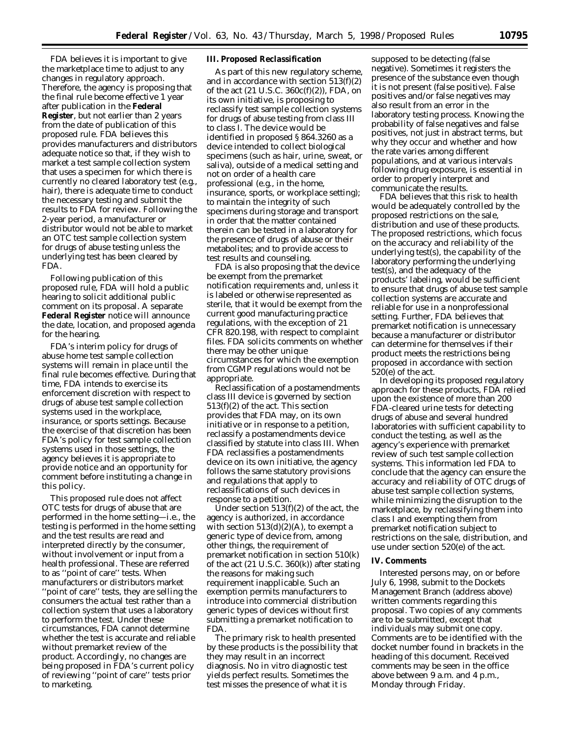FDA believes it is important to give the marketplace time to adjust to any changes in regulatory approach. Therefore, the agency is proposing that the final rule become effective 1 year after publication in the **Federal Register**, but not earlier than 2 years from the date of publication of this proposed rule. FDA believes this provides manufacturers and distributors adequate notice so that, if they wish to market a test sample collection system that uses a specimen for which there is currently no cleared laboratory test (e.g., hair), there is adequate time to conduct the necessary testing and submit the results to FDA for review. Following the 2-year period, a manufacturer or distributor would not be able to market an OTC test sample collection system for drugs of abuse testing unless the underlying test has been cleared by FDA.

Following publication of this proposed rule, FDA will hold a public hearing to solicit additional public comment on its proposal. A separate **Federal Register** notice will announce the date, location, and proposed agenda for the hearing.

FDA's interim policy for drugs of abuse home test sample collection systems will remain in place until the final rule becomes effective. During that time, FDA intends to exercise its enforcement discretion with respect to drugs of abuse test sample collection systems used in the workplace, insurance, or sports settings. Because the exercise of that discretion has been FDA's policy for test sample collection systems used in those settings, the agency believes it is appropriate to provide notice and an opportunity for comment before instituting a change in this policy.

This proposed rule does not affect OTC tests for drugs of abuse that are performed in the home setting—i.e., the testing is performed in the home setting and the test results are read and interpreted directly by the consumer, without involvement or input from a health professional. These are referred to as ''point of care'' tests. When manufacturers or distributors market ''point of care'' tests, they are selling the consumers the actual test rather than a collection system that uses a laboratory to perform the test. Under these circumstances, FDA cannot determine whether the test is accurate and reliable without premarket review of the product. Accordingly, no changes are being proposed in FDA's current policy of reviewing ''point of care'' tests prior to marketing.

### **III. Proposed Reclassification**

As part of this new regulatory scheme, and in accordance with section 513(f)(2) of the act  $(21 \text{ U.S.C. } 360c(f)(2))$ , FDA, on its own initiative, is proposing to reclassify test sample collection systems for drugs of abuse testing from class III to class I. The device would be identified in proposed § 864.3260 as a device intended to collect biological specimens (such as hair, urine, sweat, or saliva), outside of a medical setting and not on order of a health care professional (e.g., in the home, insurance, sports, or workplace setting); to maintain the integrity of such specimens during storage and transport in order that the matter contained therein can be tested in a laboratory for the presence of drugs of abuse or their metabolites; and to provide access to test results and counseling.

FDA is also proposing that the device be exempt from the premarket notification requirements and, unless it is labeled or otherwise represented as sterile, that it would be exempt from the current good manufacturing practice regulations, with the exception of 21 CFR 820.198, with respect to complaint files. FDA solicits comments on whether there may be other unique circumstances for which the exemption from CGMP regulations would not be appropriate.

Reclassification of a postamendments class III device is governed by section 513(f)(2) of the act. This section provides that FDA may, on its own initiative or in response to a petition, reclassify a postamendments device classified by statute into class III. When FDA reclassifies a postamendments device on its own initiative, the agency follows the same statutory provisions and regulations that apply to reclassifications of such devices in response to a petition.

Under section 513(f)(2) of the act, the agency is authorized, in accordance with section  $513(d)(2)(A)$ , to exempt a generic type of device from, among other things, the requirement of premarket notification in section 510(k) of the act (21 U.S.C. 360(k)) after stating the reasons for making such requirement inapplicable. Such an exemption permits manufacturers to introduce into commercial distribution generic types of devices without first submitting a premarket notification to FDA.

The primary risk to health presented by these products is the possibility that they may result in an incorrect diagnosis. No in vitro diagnostic test yields perfect results. Sometimes the test misses the presence of what it is

supposed to be detecting (false negative). Sometimes it registers the presence of the substance even though it is not present (false positive). False positives and/or false negatives may also result from an error in the laboratory testing process. Knowing the probability of false negatives and false positives, not just in abstract terms, but why they occur and whether and how the rate varies among different populations, and at various intervals following drug exposure, is essential in order to properly interpret and communicate the results.

FDA believes that this risk to health would be adequately controlled by the proposed restrictions on the sale, distribution and use of these products. The proposed restrictions, which focus on the accuracy and reliability of the underlying test(s), the capability of the laboratory performing the underlying test(s), and the adequacy of the products' labeling, would be sufficient to ensure that drugs of abuse test sample collection systems are accurate and reliable for use in a nonprofessional setting. Further, FDA believes that premarket notification is unnecessary because a manufacturer or distributor can determine for themselves if their product meets the restrictions being proposed in accordance with section 520(e) of the act.

In developing its proposed regulatory approach for these products, FDA relied upon the existence of more than 200 FDA-cleared urine tests for detecting drugs of abuse and several hundred laboratories with sufficient capability to conduct the testing, as well as the agency's experience with premarket review of such test sample collection systems. This information led FDA to conclude that the agency can ensure the accuracy and reliability of OTC drugs of abuse test sample collection systems, while minimizing the disruption to the marketplace, by reclassifying them into class I and exempting them from premarket notification subject to restrictions on the sale, distribution, and use under section 520(e) of the act.

#### **IV. Comments**

Interested persons may, on or before July 6, 1998, submit to the Dockets Management Branch (address above) written comments regarding this proposal. Two copies of any comments are to be submitted, except that individuals may submit one copy. Comments are to be identified with the docket number found in brackets in the heading of this document. Received comments may be seen in the office above between 9 a.m. and 4 p.m., Monday through Friday.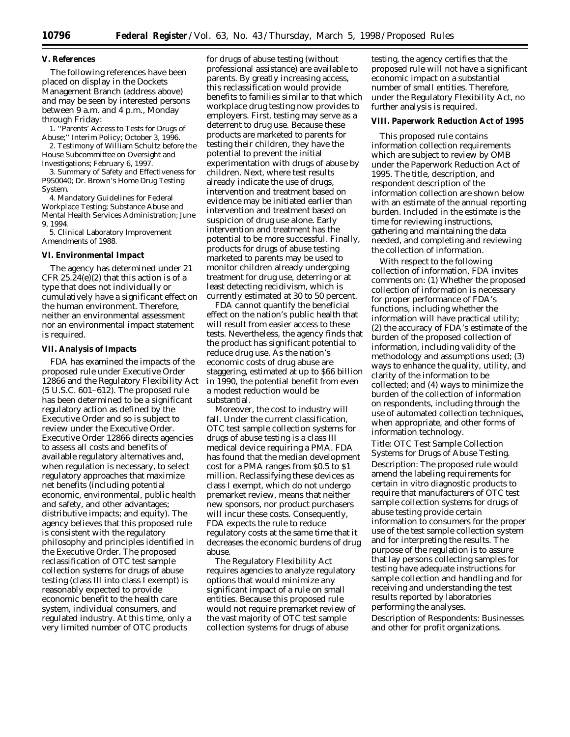### **V. References**

The following references have been placed on display in the Dockets Management Branch (address above) and may be seen by interested persons between 9 a.m. and 4 p.m., Monday through Friday:

1. ''Parents' Access to Tests for Drugs of Abuse;'' Interim Policy; October 3, 1996.

2. Testimony of William Schultz before the House Subcommittee on Oversight and Investigations; February 6, 1997.

3. Summary of Safety and Effectiveness for P950040; Dr. Brown's Home Drug Testing System.

4. Mandatory Guidelines for Federal Workplace Testing; Substance Abuse and Mental Health Services Administration; June 9, 1994.

5. Clinical Laboratory Improvement Amendments of 1988.

#### **VI. Environmental Impact**

The agency has determined under 21 CFR  $25.24(e)(2)$  that this action is of a type that does not individually or cumulatively have a significant effect on the human environment. Therefore, neither an environmental assessment nor an environmental impact statement is required.

#### **VII. Analysis of Impacts**

FDA has examined the impacts of the proposed rule under Executive Order 12866 and the Regulatory Flexibility Act (5 U.S.C. 601–612). The proposed rule has been determined to be a significant regulatory action as defined by the Executive Order and so is subject to review under the Executive Order. Executive Order 12866 directs agencies to assess all costs and benefits of available regulatory alternatives and, when regulation is necessary, to select regulatory approaches that maximize net benefits (including potential economic, environmental, public health and safety, and other advantages; distributive impacts; and equity). The agency believes that this proposed rule is consistent with the regulatory philosophy and principles identified in the Executive Order. The proposed reclassification of OTC test sample collection systems for drugs of abuse testing (class III into class I exempt) is reasonably expected to provide economic benefit to the health care system, individual consumers, and regulated industry. At this time, only a very limited number of OTC products

for drugs of abuse testing (without professional assistance) are available to parents. By greatly increasing access, this reclassification would provide benefits to families similar to that which workplace drug testing now provides to employers. First, testing may serve as a deterrent to drug use. Because these products are marketed to parents for testing their children, they have the potential to prevent the initial experimentation with drugs of abuse by children. Next, where test results already indicate the use of drugs, intervention and treatment based on evidence may be initiated earlier than intervention and treatment based on suspicion of drug use alone. Early intervention and treatment has the potential to be more successful. Finally, products for drugs of abuse testing marketed to parents may be used to monitor children already undergoing treatment for drug use, deterring or at least detecting recidivism, which is currently estimated at 30 to 50 percent.

FDA cannot quantify the beneficial effect on the nation's public health that will result from easier access to these tests. Nevertheless, the agency finds that the product has significant potential to reduce drug use. As the nation's economic costs of drug abuse are staggering, estimated at up to \$66 billion in 1990, the potential benefit from even a modest reduction would be substantial.

Moreover, the cost to industry will fall. Under the current classification, OTC test sample collection systems for drugs of abuse testing is a class III medical device requiring a PMA. FDA has found that the median development cost for a PMA ranges from \$0.5 to \$1 million. Reclassifying these devices as class I exempt, which do not undergo premarket review, means that neither new sponsors, nor product purchasers will incur these costs. Consequently, FDA expects the rule to reduce regulatory costs at the same time that it decreases the economic burdens of drug abuse.

The Regulatory Flexibility Act requires agencies to analyze regulatory options that would minimize any significant impact of a rule on small entities. Because this proposed rule would not require premarket review of the vast majority of OTC test sample collection systems for drugs of abuse

testing, the agency certifies that the proposed rule will not have a significant economic impact on a substantial number of small entities. Therefore, under the Regulatory Flexibility Act, no further analysis is required.

#### **VIII. Paperwork Reduction Act of 1995**

This proposed rule contains information collection requirements which are subject to review by OMB under the Paperwork Reduction Act of 1995. The title, description, and respondent description of the information collection are shown below with an estimate of the annual reporting burden. Included in the estimate is the time for reviewing instructions, gathering and maintaining the data needed, and completing and reviewing the collection of information.

With respect to the following collection of information, FDA invites comments on: (1) Whether the proposed collection of information is necessary for proper performance of FDA's functions, including whether the information will have practical utility; (2) the accuracy of FDA's estimate of the burden of the proposed collection of information, including validity of the methodology and assumptions used; (3) ways to enhance the quality, utility, and clarity of the information to be collected; and (4) ways to minimize the burden of the collection of information on respondents, including through the use of automated collection techniques, when appropriate, and other forms of information technology.

*Title*: OTC Test Sample Collection Systems for Drugs of Abuse Testing. *Description*: The proposed rule would amend the labeling requirements for certain in vitro diagnostic products to require that manufacturers of OTC test sample collection systems for drugs of abuse testing provide certain information to consumers for the proper use of the test sample collection system and for interpreting the results. The purpose of the regulation is to assure that lay persons collecting samples for testing have adequate instructions for sample collection and handling and for receiving and understanding the test results reported by laboratories performing the analyses.

*Description of Respondents*: Businesses and other for profit organizations.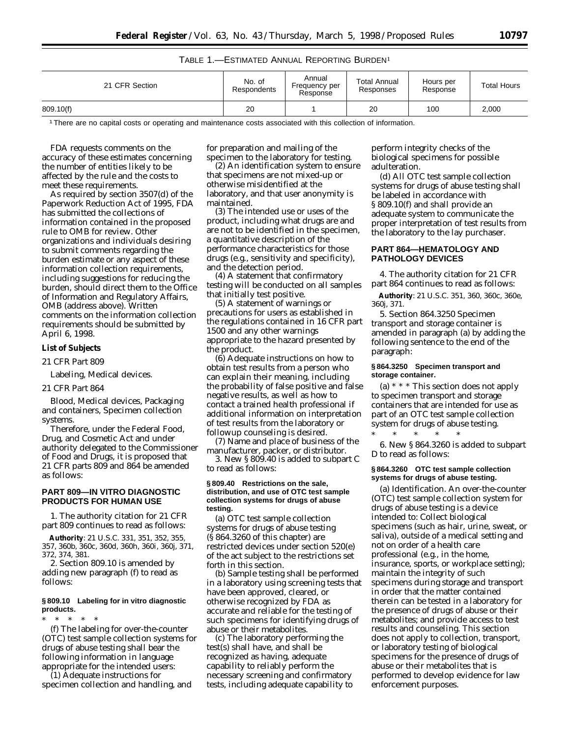# TABLE 1.—ESTIMATED ANNUAL REPORTING BURDEN1

| 21 CFR Section | No. of<br>Respondents | Annual<br>Frequency per<br>Response | <b>Total Annual</b><br>Responses | Hours per<br>Response | <b>Total Hours</b> |
|----------------|-----------------------|-------------------------------------|----------------------------------|-----------------------|--------------------|
| 809.10(f)      | 20                    |                                     | 20                               | 100                   | 2,000              |

1There are no capital costs or operating and maintenance costs associated with this collection of information.

FDA requests comments on the accuracy of these estimates concerning the number of entities likely to be affected by the rule and the costs to meet these requirements.

As required by section 3507(d) of the Paperwork Reduction Act of 1995, FDA has submitted the collections of information contained in the proposed rule to OMB for review. Other organizations and individuals desiring to submit comments regarding the burden estimate or any aspect of these information collection requirements, including suggestions for reducing the burden, should direct them to the Office of Information and Regulatory Affairs, OMB (address above). Written comments on the information collection requirements should be submitted by April 6, 1998.

#### **List of Subjects**

*21 CFR Part 809*

Labeling, Medical devices.

# *21 CFR Part 864*

Blood, Medical devices, Packaging and containers, Specimen collection systems.

Therefore, under the Federal Food, Drug, and Cosmetic Act and under authority delegated to the Commissioner of Food and Drugs, it is proposed that 21 CFR parts 809 and 864 be amended as follows:

### **PART 809—IN VITRO DIAGNOSTIC PRODUCTS FOR HUMAN USE**

1. The authority citation for 21 CFR part 809 continues to read as follows:

**Authority**: 21 U.S.C. 331, 351, 352, 355, 357, 360b, 360c, 360d, 360h, 360i, 360j, 371, 372, 374, 381.

2. Section 809.10 is amended by adding new paragraph (f) to read as follows:

#### **§ 809.10 Labeling for in vitro diagnostic products.**

\* \* \* \* \*

(f) The labeling for over-the-counter (OTC) test sample collection systems for drugs of abuse testing shall bear the following information in language appropriate for the intended users:

(1) Adequate instructions for specimen collection and handling, and for preparation and mailing of the specimen to the laboratory for testing.

(2) An identification system to ensure that specimens are not mixed-up or otherwise misidentified at the laboratory, and that user anonymity is maintained.

(3) The intended use or uses of the product, including what drugs are and are not to be identified in the specimen, a quantitative description of the performance characteristics for those drugs (e.g., sensitivity and specificity), and the detection period.

(4) A statement that confirmatory testing will be conducted on all samples that initially test positive.

(5) A statement of warnings or precautions for users as established in the regulations contained in 16 CFR part 1500 and any other warnings appropriate to the hazard presented by the product.

(6) Adequate instructions on how to obtain test results from a person who can explain their meaning, including the probability of false positive and false negative results, as well as how to contact a trained health professional if additional information on interpretation of test results from the laboratory or followup counseling is desired.

(7) Name and place of business of the manufacturer, packer, or distributor.

3. New § 809.40 is added to subpart C to read as follows:

#### **§ 809.40 Restrictions on the sale, distribution, and use of OTC test sample collection systems for drugs of abuse testing.**

(a) OTC test sample collection systems for drugs of abuse testing (§ 864.3260 of this chapter) are restricted devices under section 520(e) of the act subject to the restrictions set forth in this section.

(b) Sample testing shall be performed in a laboratory using screening tests that have been approved, cleared, or otherwise recognized by FDA as accurate and reliable for the testing of such specimens for identifying drugs of abuse or their metabolites.

(c) The laboratory performing the test(s) shall have, and shall be recognized as having, adequate capability to reliably perform the necessary screening and confirmatory tests, including adequate capability to perform integrity checks of the biological specimens for possible adulteration.

(d) All OTC test sample collection systems for drugs of abuse testing shall be labeled in accordance with § 809.10(f) and shall provide an adequate system to communicate the proper interpretation of test results from the laboratory to the lay purchaser.

### **PART 864—HEMATOLOGY AND PATHOLOGY DEVICES**

4. The authority citation for 21 CFR part 864 continues to read as follows:

**Authority**: 21 U.S.C. 351, 360, 360c, 360e, 360j, 371.

5. Section 864.3250 *Specimen transport and storage container* is amended in paragraph (a) by adding the following sentence to the end of the paragraph:

### **§ 864.3250 Specimen transport and storage container.**

(a) \* \* \* This section does not apply to specimen transport and storage containers that are intended for use as part of an OTC test sample collection system for drugs of abuse testing.

\* \* \* \* \* 6. New § 864.3260 is added to subpart D to read as follows:

#### **§ 864.3260 OTC test sample collection systems for drugs of abuse testing.**

(a) *Identification*. An over-the-counter (OTC) test sample collection system for drugs of abuse testing is a device intended to: Collect biological specimens (such as hair, urine, sweat, or saliva), outside of a medical setting and not on order of a health care professional (e.g., in the home, insurance, sports, or workplace setting); maintain the integrity of such specimens during storage and transport in order that the matter contained therein can be tested in a laboratory for the presence of drugs of abuse or their metabolites; and provide access to test results and counseling. This section does not apply to collection, transport, or laboratory testing of biological specimens for the presence of drugs of abuse or their metabolites that is performed to develop evidence for law enforcement purposes.